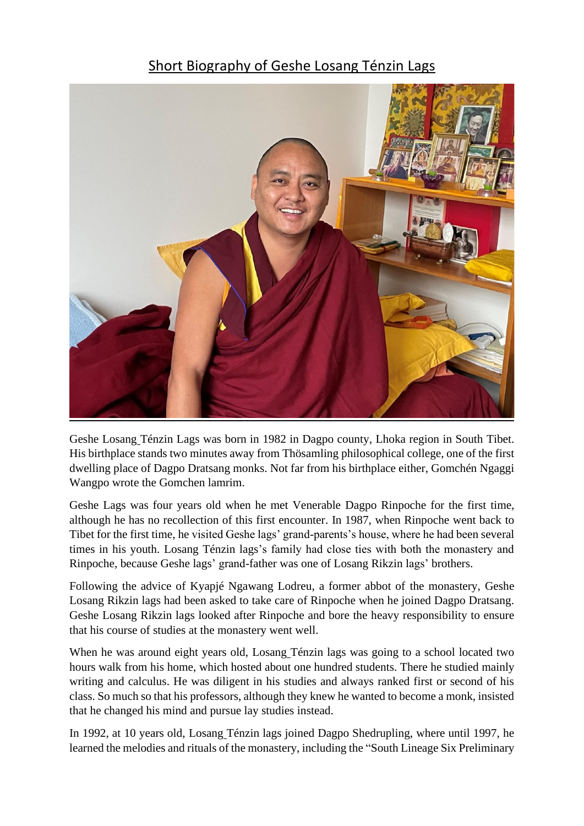## Short Biography of Geshe Losang Ténzin Lags



Geshe Losang Ténzin Lags was born in 1982 in Dagpo county, Lhoka region in South Tibet. His birthplace stands two minutes away from Thösamling philosophical college, one of the first dwelling place of Dagpo Dratsang monks. Not far from his birthplace either, Gomchén Ngaggi Wangpo wrote the Gomchen lamrim.

Geshe Lags was four years old when he met Venerable Dagpo Rinpoche for the first time, although he has no recollection of this first encounter. In 1987, when Rinpoche went back to Tibet for the first time, he visited Geshe lags' grand-parents's house, where he had been several times in his youth. Losang Ténzin lags's family had close ties with both the monastery and Rinpoche, because Geshe lags' grand-father was one of Losang Rikzin lags' brothers.

Following the advice of Kyapjé Ngawang Lodreu, a former abbot of the monastery, Geshe Losang Rikzin lags had been asked to take care of Rinpoche when he joined Dagpo Dratsang. Geshe Losang Rikzin lags looked after Rinpoche and bore the heavy responsibility to ensure that his course of studies at the monastery went well.

When he was around eight years old, Losang Ténzin lags was going to a school located two hours walk from his home, which hosted about one hundred students. There he studied mainly writing and calculus. He was diligent in his studies and always ranked first or second of his class. So much so that his professors, although they knew he wanted to become a monk, insisted that he changed his mind and pursue lay studies instead.

In 1992, at 10 years old, Losang Ténzin lags joined Dagpo Shedrupling, where until 1997, he learned the melodies and rituals of the monastery, including the "South Lineage Six Preliminary